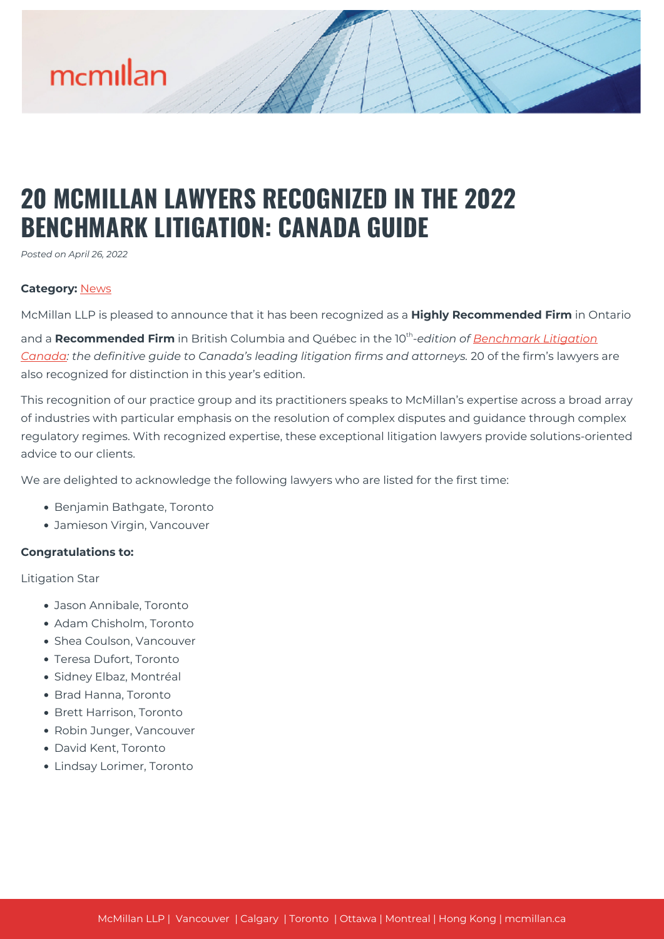

## **20 MCMILLAN LAWYERS RECOGNIZED IN THE 2022 BENCHMARK LITIGATION: CANADA GUIDE**

*Posted on April 26, 2022*

## **Category:** [News](https://mcmillan.ca/news/)

McMillan LLP is pleased to announce that it has been recognized as a **Highly Recommended Firm** in Ontario

and a **Recommended Firm** in British Columbia and Québec in the 10<sup>th</sup>-edition of **Benchmark Litigation** *[Canada:](https://benchmarklitigation.com/Firm/McMillan/Profile/111075#profile) the definitive guide to Canada's leading litigation firms and attorneys.* 20 of the firm's lawyers are also recognized for distinction in this year's edition.

This recognition of our practice group and its practitioners speaks to McMillan's expertise across a broad array of industries with particular emphasis on the resolution of complex disputes and guidance through complex regulatory regimes. With recognized expertise, these exceptional litigation lawyers provide solutions-oriented advice to our clients.

We are delighted to acknowledge the following lawyers who are listed for the first time:

- Benjamin Bathgate, Toronto
- Jamieson Virgin, Vancouver

## **Congratulations to:**

Litigation Star

- Jason Annibale, Toronto
- Adam Chisholm, Toronto
- Shea Coulson, Vancouver
- Teresa Dufort, Toronto
- Sidney Elbaz, Montréal
- Brad Hanna, Toronto
- Brett Harrison, Toronto
- Robin Junger, Vancouver
- David Kent, Toronto
- Lindsay Lorimer, Toronto